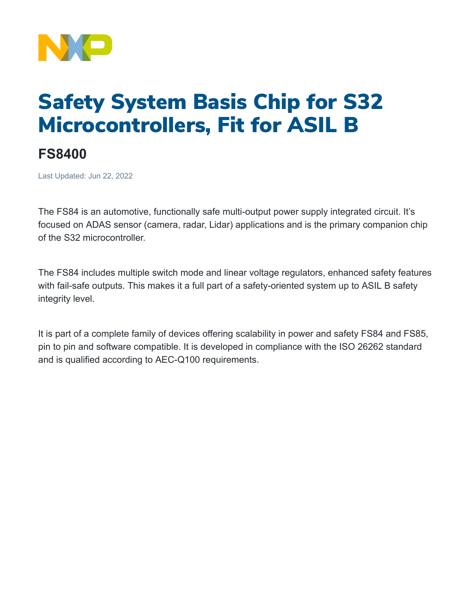

## Safety System Basis Chip for S32 Microcontrollers, Fit for ASIL B

## **FS8400**

Last Updated: Jun 22, 2022

The FS84 is an automotive, functionally safe multi-output power supply integrated circuit. It's focused on ADAS sensor (camera, radar, Lidar) applications and is the primary companion chip of the S32 microcontroller.

The FS84 includes multiple switch mode and linear voltage regulators, enhanced safety features with fail-safe outputs. This makes it a full part of a safety-oriented system up to ASIL B safety integrity level.

It is part of a complete family of devices offering scalability in power and safety FS84 and FS85, pin to pin and software compatible. It is developed in compliance with the ISO 26262 standard and is qualified according to AEC-Q100 requirements.